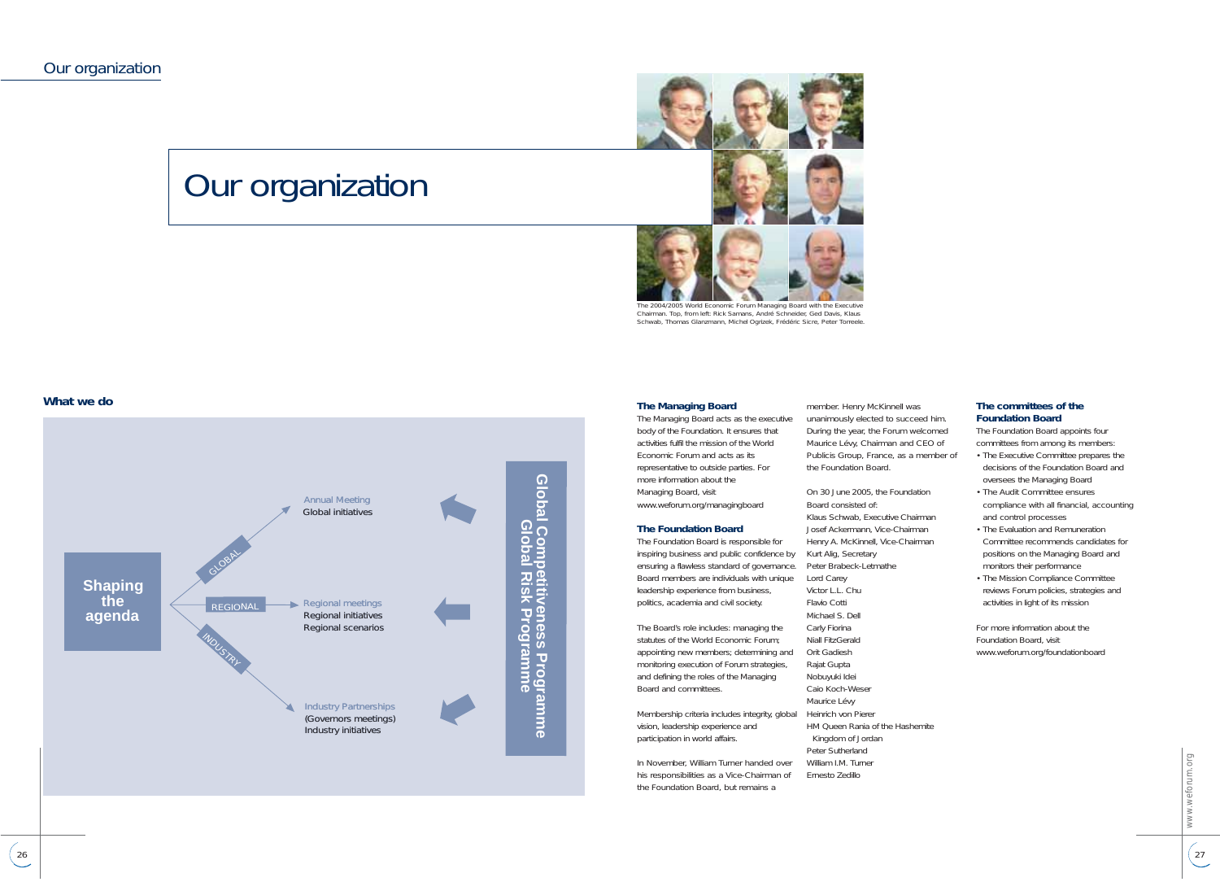## Our organization



*The 2004/2005 World Economic Forum Managing Board with the Executive Chairman. Top, from left: Rick Samans, André Schneider, Ged Davis, Klaus Schwab, Thomas Glanzmann, Michel Ogrizek, Frédéric Sicre, Peter Torreele.*

#### **What we do**



#### **The Managing Board**

The Managing Board acts as the executive body of the Foundation. It ensures that activities fulfil the mission of the World Economic Forum and acts as its representative to outside parties. For more information about the Managing Board, visit www.weforum.org/managingboard

#### **The Foundation Board**

The Foundation Board is responsible for inspiring business and public confidence by ensuring a flawless standard of governance. Board members are individuals with unique Lord Carey leadership experience from business, politics, academia and civil society.

The Board's role includes: managing the statutes of the World Economic Forum; appointing new members; determining and Orit Gadiesh monitoring execution of Forum strategies, and defining the roles of the Managing Board and committees.

Membership criteria includes integrity, global vision, leadership experience and participation in world affairs.

In November, William Turner handed over his responsibilities as a Vice-Chairman of the Foundation Board, but remains a

member. Henry McKinnell was unanimously elected to succeed him. During the year, the Forum welcomed Maurice Lévy, Chairman and CEO of Publicis Group, France, as a member of the Foundation Board.

On 30 June 2005, the Foundation Board consisted of: Klaus Schwab, Executive Chairman Josef Ackermann, Vice-Chairman Henry A. McKinnell, Vice-Chairman Kurt Alig, Secretary Peter Brabeck-Letmathe Victor L.L. Chu Flavio Cotti Michael S. Dell Carly Fiorina Niall FitzGerald Rajat Gupta Nobuyuki Idei Caio Koch-Weser Maurice Lévy Heinrich von Pierer HM Queen Rania of the Hashemite Kingdom of Jordan Peter Sutherland William I.M. Turner Ernesto Zedillo

#### **The committees of the Foundation Board**

The Foundation Board appoints four committees from among its members: • The Executive Committee prepares the decisions of the Foundation Board and

- oversees the Managing Board • The Audit Committee ensures compliance with all financial, accounting and control processes
- The Evaluation and Remuneration Committee recommends candidates for positions on the Managing Board and monitors their performance • The Mission Compliance Committee
- reviews Forum policies, strategies and activities in light of its mission

For more information about the Foundation Board, visit www.weforum.org/foundationboard

> veforum.org www.weforum.org  $\frac{27}{2}$